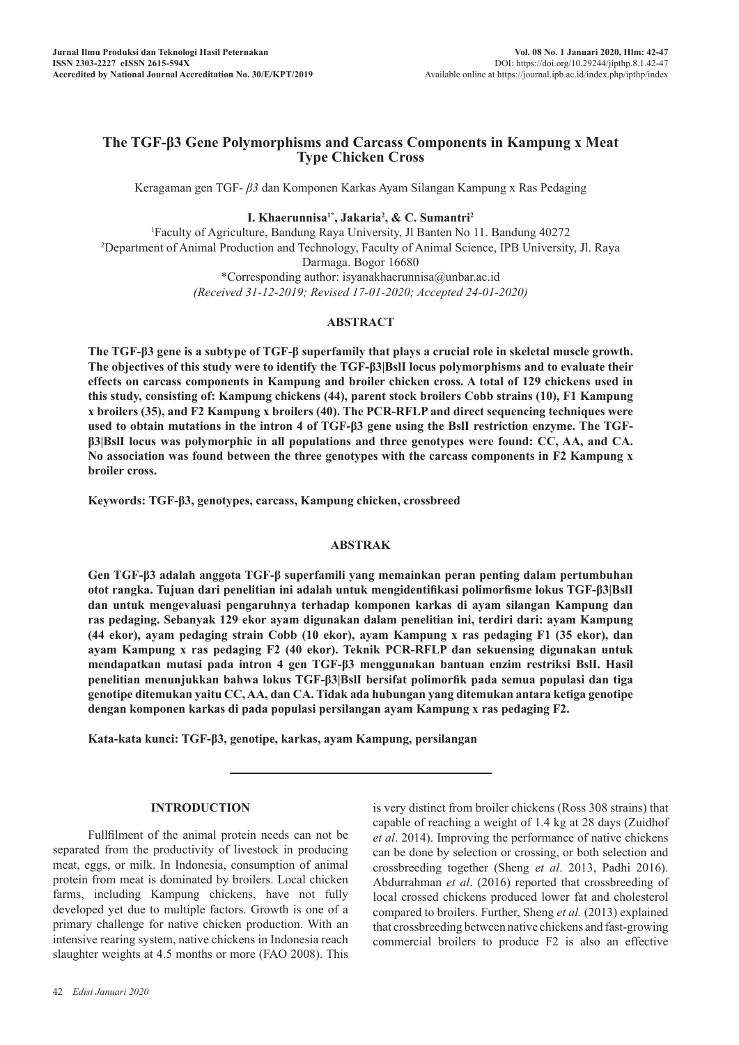# **The TGF-β3 Gene Polymorphisms and Carcass Components in Kampung x Meat Type Chicken Cross**

Keragaman gen TGF- *β3* dan Komponen Karkas Ayam Silangan Kampung x Ras Pedaging

**I. Khaerunnisa1\*, Jakaria2 , & C. Sumantri<sup>2</sup>**

1 Faculty of Agriculture, Bandung Raya University, Jl Banten No 11. Bandung 40272 2 Department of Animal Production and Technology, Faculty of Animal Science, IPB University, Jl. Raya Darmaga. Bogor 16680 \*Corresponding author: isyanakhaerunnisa@unbar.ac.id *(Received 31-12-2019; Revised 17-01-2020; Accepted 24-01-2020)*

# **ABSTRACT**

**The TGF-β3 gene is a subtype of TGF-β superfamily that plays a crucial role in skeletal muscle growth. The objectives of this study were to identify the TGF-β3|BslI locus polymorphisms and to evaluate their effects on carcass components in Kampung and broiler chicken cross. A total of 129 chickens used in this study, consisting of: Kampung chickens (44), parent stock broilers Cobb strains (10), F1 Kampung x broilers (35), and F2 Kampung x broilers (40). The PCR-RFLP and direct sequencing techniques were used to obtain mutations in the intron 4 of TGF-β3 gene using the BslI restriction enzyme. The TGFβ3|BslI locus was polymorphic in all populations and three genotypes were found: CC, AA, and CA. No association was found between the three genotypes with the carcass components in F2 Kampung x broiler cross.**

**Keywords: TGF-β3, genotypes, carcass, Kampung chicken, crossbreed**

## **ABSTRAK**

**Gen TGF-β3 adalah anggota TGF-β superfamili yang memainkan peran penting dalam pertumbuhan otot rangka. Tujuan dari penelitian ini adalah untuk mengidentifikasi polimorfisme lokus TGF-β3|BslI dan untuk mengevaluasi pengaruhnya terhadap komponen karkas di ayam silangan Kampung dan ras pedaging. Sebanyak 129 ekor ayam digunakan dalam penelitian ini, terdiri dari: ayam Kampung (44 ekor), ayam pedaging strain Cobb (10 ekor), ayam Kampung x ras pedaging F1 (35 ekor), dan ayam Kampung x ras pedaging F2 (40 ekor). Teknik PCR-RFLP dan sekuensing digunakan untuk mendapatkan mutasi pada intron 4 gen TGF-β3 menggunakan bantuan enzim restriksi BslI. Hasil penelitian menunjukkan bahwa lokus TGF-β3|BslI bersifat polimorfik pada semua populasi dan tiga genotipe ditemukan yaitu CC, AA, dan CA. Tidak ada hubungan yang ditemukan antara ketiga genotipe dengan komponen karkas di pada populasi persilangan ayam Kampung x ras pedaging F2.**

**Kata-kata kunci: TGF-β3, genotipe, karkas, ayam Kampung, persilangan** 

## **INTRODUCTION**

Fullfilment of the animal protein needs can not be separated from the productivity of livestock in producing meat, eggs, or milk. In Indonesia, consumption of animal protein from meat is dominated by broilers. Local chicken farms, including Kampung chickens, have not fully developed yet due to multiple factors. Growth is one of a primary challenge for native chicken production. With an intensive rearing system, native chickens in Indonesia reach slaughter weights at 4.5 months or more (FAO 2008). This

is very distinct from broiler chickens (Ross 308 strains) that capable of reaching a weight of 1.4 kg at 28 days (Zuidhof *et al*. 2014). Improving the performance of native chickens can be done by selection or crossing, or both selection and crossbreeding together (Sheng *et al*. 2013, Padhi 2016). Abdurrahman *et al*. (2016) reported that crossbreeding of local crossed chickens produced lower fat and cholesterol compared to broilers. Further, Sheng *et al.* (2013) explained that crossbreeding between native chickens and fast-growing commercial broilers to produce F2 is also an effective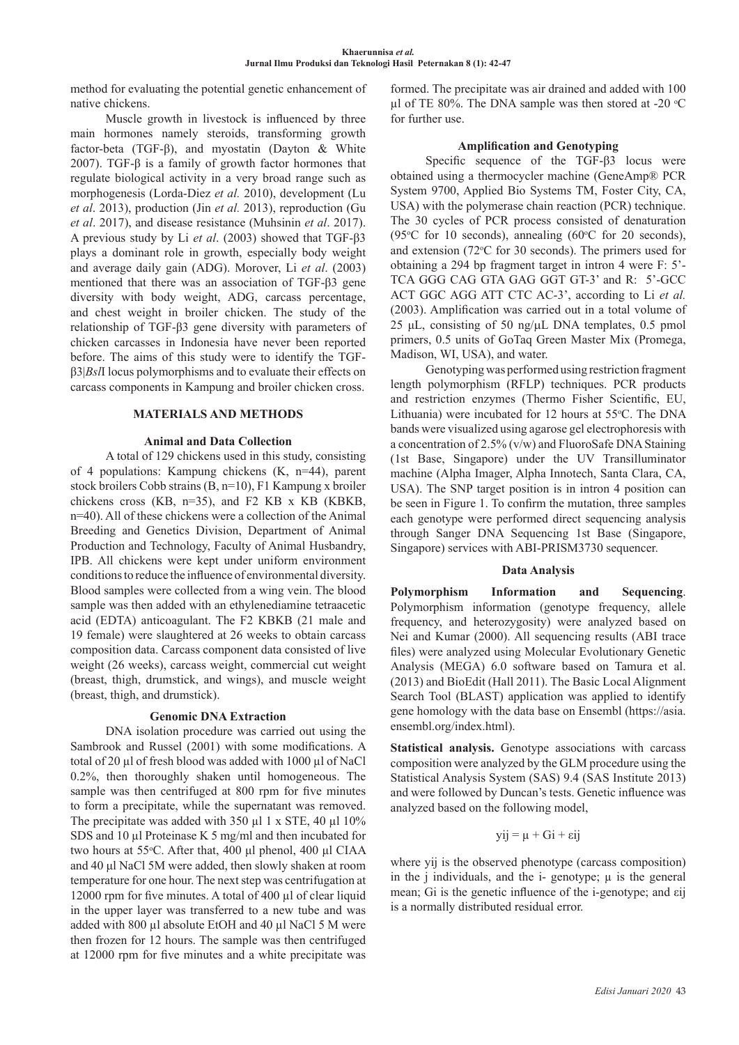method for evaluating the potential genetic enhancement of native chickens.

Muscle growth in livestock is influenced by three main hormones namely steroids, transforming growth factor-beta (TGF-β), and myostatin (Dayton & White 2007). TGF-β is a family of growth factor hormones that regulate biological activity in a very broad range such as morphogenesis (Lorda-Diez *et al.* 2010), development (Lu *et al*. 2013), production (Jin *et al.* 2013), reproduction (Gu *et al*. 2017), and disease resistance (Muhsinin *et al*. 2017). A previous study by Li *et al*. (2003) showed that TGF-β3 plays a dominant role in growth, especially body weight and average daily gain (ADG). Morover, Li *et al*. (2003) mentioned that there was an association of TGF-β3 gene diversity with body weight, ADG, carcass percentage, and chest weight in broiler chicken. The study of the relationship of TGF-β3 gene diversity with parameters of chicken carcasses in Indonesia have never been reported before. The aims of this study were to identify the TGFβ3|*Bsl*I locus polymorphisms and to evaluate their effects on carcass components in Kampung and broiler chicken cross.

## **MATERIALS AND METHODS**

## **Animal and Data Collection**

A total of 129 chickens used in this study, consisting of 4 populations: Kampung chickens (K, n=44), parent stock broilers Cobb strains (B, n=10), F1 Kampung x broiler chickens cross (KB, n=35), and F2 KB x KB (KBKB, n=40). All of these chickens were a collection of the Animal Breeding and Genetics Division, Department of Animal Production and Technology, Faculty of Animal Husbandry, IPB. All chickens were kept under uniform environment conditions to reduce the influence of environmental diversity. Blood samples were collected from a wing vein. The blood sample was then added with an ethylenediamine tetraacetic acid (EDTA) anticoagulant. The F2 KBKB (21 male and 19 female) were slaughtered at 26 weeks to obtain carcass composition data. Carcass component data consisted of live weight (26 weeks), carcass weight, commercial cut weight (breast, thigh, drumstick, and wings), and muscle weight (breast, thigh, and drumstick).

## **Genomic DNA Extraction**

DNA isolation procedure was carried out using the Sambrook and Russel (2001) with some modifications. A total of 20 µl of fresh blood was added with 1000 µl of NaCl 0.2%, then thoroughly shaken until homogeneous. The sample was then centrifuged at 800 rpm for five minutes to form a precipitate, while the supernatant was removed. The precipitate was added with 350 µl 1 x STE, 40 µl 10% SDS and 10 µl Proteinase K 5 mg/ml and then incubated for two hours at 55°C. After that, 400 μl phenol, 400 μl CIAA and 40 μl NaCl 5M were added, then slowly shaken at room temperature for one hour. The next step was centrifugation at 12000 rpm for five minutes. A total of 400 µl of clear liquid in the upper layer was transferred to a new tube and was added with 800 µl absolute EtOH and 40 µl NaCl 5 M were then frozen for 12 hours. The sample was then centrifuged at 12000 rpm for five minutes and a white precipitate was

formed. The precipitate was air drained and added with 100  $\mu$ l of TE 80%. The DNA sample was then stored at -20 °C for further use.

## **Amplification and Genotyping**

Specific sequence of the TGF-β3 locus were obtained using a thermocycler machine (GeneAmp® PCR System 9700, Applied Bio Systems TM, Foster City, CA, USA) with the polymerase chain reaction (PCR) technique. The 30 cycles of PCR process consisted of denaturation (95 $\degree$ C for 10 seconds), annealing (60 $\degree$ C for 20 seconds), and extension ( $72^{\circ}$ C for 30 seconds). The primers used for obtaining a 294 bp fragment target in intron 4 were F: 5'- TCA GGG CAG GTA GAG GGT GT-3' and R: 5'-GCC ACT GGC AGG ATT CTC AC-3', according to Li *et al.* (2003). Amplification was carried out in a total volume of 25 μL, consisting of 50 ng/μL DNA templates, 0.5 pmol primers, 0.5 units of GoTaq Green Master Mix (Promega, Madison, WI, USA), and water.

Genotyping was performed using restriction fragment length polymorphism (RFLP) techniques. PCR products and restriction enzymes (Thermo Fisher Scientific, EU, Lithuania) were incubated for 12 hours at 55°C. The DNA bands were visualized using agarose gel electrophoresis with a concentration of 2.5% (v/w) and FluoroSafe DNA Staining (1st Base, Singapore) under the UV Transilluminator machine (Alpha Imager, Alpha Innotech, Santa Clara, CA, USA). The SNP target position is in intron 4 position can be seen in Figure 1. To confirm the mutation, three samples each genotype were performed direct sequencing analysis through Sanger DNA Sequencing 1st Base (Singapore, Singapore) services with ABI-PRISM3730 sequencer.

## **Data Analysis**

**Polymorphism Information and Sequencing**. Polymorphism information (genotype frequency, allele frequency, and heterozygosity) were analyzed based on Nei and Kumar (2000). All sequencing results (ABI trace files) were analyzed using Molecular Evolutionary Genetic Analysis (MEGA) 6.0 software based on Tamura et al. (2013) and BioEdit (Hall 2011). The Basic Local Alignment Search Tool (BLAST) application was applied to identify gene homology with the data base on Ensembl (https://asia. ensembl.org/index.html).

**Statistical analysis.** Genotype associations with carcass composition were analyzed by the GLM procedure using the Statistical Analysis System (SAS) 9.4 (SAS Institute 2013) and were followed by Duncan's tests. Genetic influence was analyzed based on the following model,

$$
yij = \mu + Gi + \epsilon ij
$$

where yij is the observed phenotype (carcass composition) in the *j* individuals, and the *i*-genotype;  $\mu$  is the general mean; Gi is the genetic influence of the i-genotype; and εij is a normally distributed residual error.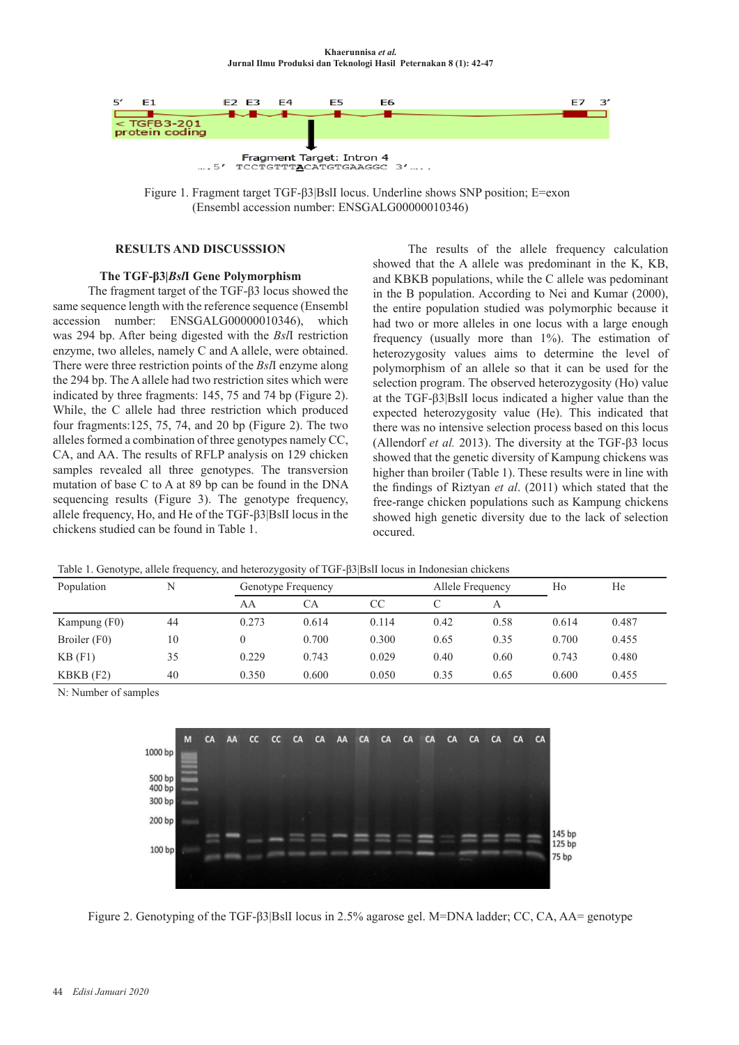

Figure 1. Fragment target TGF-β3|BslI locus. Underline shows SNP position; E=exon (Ensembl accession number: ENSGALG00000010346)

# **RESULTS AND DISCUSSSION**

# **The TGF-β3|***Bsl***I Gene Polymorphism**

The fragment target of the TGF-β3 locus showed the same sequence length with the reference sequence (Ensembl accession number: ENSGALG00000010346), which was 294 bp. After being digested with the *Bsl*I restriction enzyme, two alleles, namely C and A allele, were obtained. There were three restriction points of the *Bsl*I enzyme along the 294 bp. The A allele had two restriction sites which were indicated by three fragments: 145, 75 and 74 bp (Figure 2). While, the C allele had three restriction which produced four fragments:125, 75, 74, and 20 bp (Figure 2). The two alleles formed a combination of three genotypes namely CC, CA, and AA. The results of RFLP analysis on 129 chicken samples revealed all three genotypes. The transversion mutation of base C to A at 89 bp can be found in the DNA sequencing results (Figure 3). The genotype frequency, allele frequency, Ho, and He of the TGF-β3|BslI locus in the chickens studied can be found in Table 1.

The results of the allele frequency calculation showed that the A allele was predominant in the K, KB, and KBKB populations, while the C allele was pedominant in the B population. According to Nei and Kumar (2000), the entire population studied was polymorphic because it had two or more alleles in one locus with a large enough frequency (usually more than 1%). The estimation of heterozygosity values aims to determine the level of polymorphism of an allele so that it can be used for the selection program. The observed heterozygosity (Ho) value at the TGF-β3|BslI locus indicated a higher value than the expected heterozygosity value (He). This indicated that there was no intensive selection process based on this locus (Allendorf *et al.* 2013). The diversity at the TGF-β3 locus showed that the genetic diversity of Kampung chickens was higher than broiler (Table 1). These results were in line with the findings of Riztyan *et al*. (2011) which stated that the free-range chicken populations such as Kampung chickens showed high genetic diversity due to the lack of selection occured.

Table 1. Genotype, allele frequency, and heterozygosity of TGF-β3|BslI locus in Indonesian chickens

| Population   | N  | Genotype Frequency |       |       | Allele Frequency |      | Ho    | He    |
|--------------|----|--------------------|-------|-------|------------------|------|-------|-------|
|              |    | AA                 | СA    | CC    |                  |      |       |       |
| Kampung (F0) | 44 | 0.273              | 0.614 | 0.114 | 0.42             | 0.58 | 0.614 | 0.487 |
| Broiler (F0) | 10 |                    | 0.700 | 0.300 | 0.65             | 0.35 | 0.700 | 0.455 |
| $KB$ (F1)    | 35 | 0.229              | 0.743 | 0.029 | 0.40             | 0.60 | 0.743 | 0.480 |
| $KBKB$ (F2)  | 40 | 0.350              | 0.600 | 0.050 | 0.35             | 0.65 | 0.600 | 0.455 |

N: Number of samples



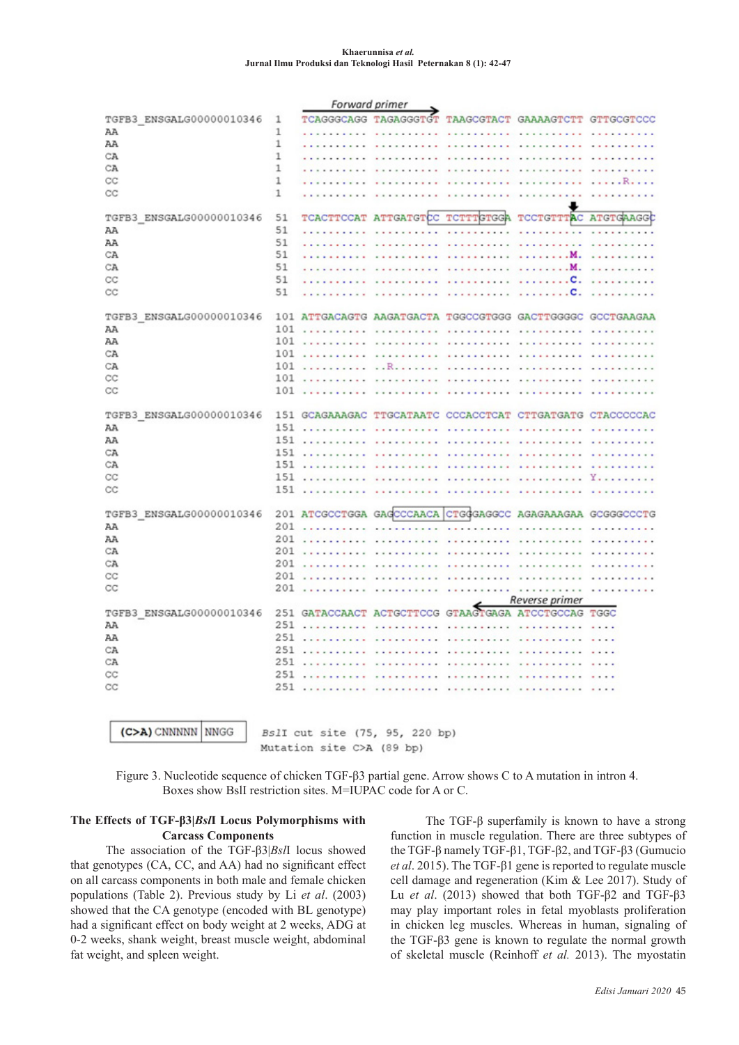#### **Khaerunnisa** *et al.*  **Jurnal Ilmu Produksi dan Teknologi Hasil Peternakan 8 (1): 42-47**

| Forward primer           |     |                              |                                                            |                                          |                                   |                   |  |  |
|--------------------------|-----|------------------------------|------------------------------------------------------------|------------------------------------------|-----------------------------------|-------------------|--|--|
| TGFB3_ENSGALG00000010346 | 1   | TCAGGGCAGG                   | TAGAGGGTGT                                                 | <b>TAAGCGTACT</b>                        | <b>GAAAAGTCTT</b>                 | <b>GTTGCGTCCC</b> |  |  |
| AA                       | 1   |                              |                                                            |                                          |                                   |                   |  |  |
| AA                       | 1   | .                            | .                                                          |                                          |                                   |                   |  |  |
| CA                       | 1   |                              |                                                            | and a series and a series                | .                                 |                   |  |  |
| CA                       | 1   |                              |                                                            |                                          | .                                 |                   |  |  |
| CC                       | 1   |                              |                                                            |                                          | .                                 | .                 |  |  |
| CC                       | 1   |                              |                                                            |                                          |                                   |                   |  |  |
| TGFB3 ENSGALG00000010346 | 51  | TCACTTCCAT                   | <b>ATTGATGTCC</b>                                          | TCTTTGTGGA                               | TCCTGTTTAC                        | ATGTGAAGG         |  |  |
| AA                       | 51  |                              |                                                            | .                                        | $\cdots$                          | .                 |  |  |
| AA                       | 51  | <b>STATISTICS</b> STATISTICS |                                                            | .                                        | <b><i><u>ALLER LERES </u></i></b> | .                 |  |  |
| CA                       | 51  |                              | .                                                          | .                                        | 1.1.1.1.1.1.1                     | .                 |  |  |
| CA                       | 51  |                              |                                                            | whether a company of the                 | . M.                              | .                 |  |  |
| CC                       | 51  |                              |                                                            |                                          | . C.                              | .                 |  |  |
| CC                       | 51  |                              |                                                            |                                          | . C.                              | .                 |  |  |
| TGFB3 ENSGALG00000010346 |     |                              | 101 ATTGACAGTG AAGATGACTA TGGCCGTGGG GACTTGGGGC GCCTGAAGAA |                                          |                                   |                   |  |  |
| AA                       |     | $101$                        | $\sim$<br>$-1 - 1$                                         |                                          | .                                 | $\cdot$ .         |  |  |
| AA                       |     | 101                          |                                                            | <b>**********</b>                        | <b>**********</b>                 | .                 |  |  |
| СA                       | 101 | .                            | .<br>$\overline{a}$                                        | .                                        | . <b>.</b>                        |                   |  |  |
| CA                       |     |                              | $101 \ldots \ldots \ldots \ldots$                          |                                          |                                   | .                 |  |  |
| CC                       | 101 | .                            |                                                            | .                                        |                                   |                   |  |  |
| CC                       |     | 101                          |                                                            | <b>**********</b>                        |                                   |                   |  |  |
| TGFB3 ENSGALG00000010346 |     |                              | 151 GCAGAAAGAC TTGCATAATC CCCACCTCAT CTTGATGATG CTACCCCCAC |                                          |                                   |                   |  |  |
| AA                       |     | 151                          | $\cdots$                                                   | $-1 - 1 - 1$<br>$\sim$ $\sim$<br>u<br>i. | .                                 |                   |  |  |
| AA                       | 151 | .                            |                                                            |                                          |                                   |                   |  |  |
| CA                       | 151 | .                            |                                                            |                                          |                                   |                   |  |  |
| СA                       |     | 151                          |                                                            | .                                        |                                   |                   |  |  |
| CC                       |     |                              |                                                            |                                          |                                   | Y.<br>.           |  |  |
| CC                       |     | 151                          | .                                                          | <b></b>                                  |                                   |                   |  |  |
| TGFB3 ENSGALG00000010346 |     |                              | 201 ATCGCCTGGA GAGCCCAACA                                  |                                          | CTGGGAGGCC AGAGAAAGAA GCGGGCCCTG  |                   |  |  |
| AA                       | 201 | .                            | <b></b>                                                    | .<br>$\sim$                              |                                   |                   |  |  |
| AA                       | 201 | .                            | .                                                          | .                                        | .                                 |                   |  |  |
| СA                       | 201 | <b>**********</b>            |                                                            |                                          |                                   |                   |  |  |
| CA                       | 201 |                              |                                                            |                                          | .                                 |                   |  |  |
| CC                       | 201 | .                            |                                                            |                                          |                                   |                   |  |  |
| CC                       | 201 | .                            |                                                            |                                          | 1.1.1.1.1.1                       |                   |  |  |
|                          |     |                              |                                                            |                                          | Reverse primer                    |                   |  |  |
| TGFB3_ENSGALG00000010346 |     |                              | 251 GATACCAACT ACTGCTTCCG                                  | <b>GTAAGT</b>                            | <b>GAGA ATCCTGCCAG</b>            |                   |  |  |
| AA                       | 251 | .                            | $\sim$                                                     | .                                        |                                   |                   |  |  |
| AA                       | 251 |                              |                                                            | .                                        |                                   |                   |  |  |
| СA                       | 251 | .                            | .                                                          |                                          |                                   |                   |  |  |
| CA                       | 251 |                              |                                                            |                                          |                                   |                   |  |  |
| CC                       | 251 |                              |                                                            |                                          |                                   |                   |  |  |
| CC                       |     | 251                          |                                                            | .                                        | .                                 |                   |  |  |
| (C>A) CNNNNN NNGG        |     |                              | BslI cut site (75, 95, 220 bp)                             |                                          |                                   |                   |  |  |

Mutation site C>A (89 bp)

Figure 3. Nucleotide sequence of chicken TGF-β3 partial gene. Arrow shows C to A mutation in intron 4. Boxes show BslI restriction sites. M=IUPAC code for A or C.

# **The Effects of TGF-β3|***Bsl***I Locus Polymorphisms with Carcass Components**

The association of the TGF-β3|*Bsl*I locus showed that genotypes (CA, CC, and AA) had no significant effect on all carcass components in both male and female chicken populations (Table 2). Previous study by Li *et al*. (2003) showed that the CA genotype (encoded with BL genotype) had a significant effect on body weight at 2 weeks, ADG at 0-2 weeks, shank weight, breast muscle weight, abdominal fat weight, and spleen weight.

The TGF-β superfamily is known to have a strong function in muscle regulation. There are three subtypes of the TGF-β namely TGF-β1, TGF-β2, and TGF-β3 (Gumucio *et al*. 2015). The TGF-β1 gene is reported to regulate muscle cell damage and regeneration (Kim & Lee 2017). Study of Lu *et al*. (2013) showed that both TGF-β2 and TGF-β3 may play important roles in fetal myoblasts proliferation in chicken leg muscles. Whereas in human, signaling of the TGF-β3 gene is known to regulate the normal growth of skeletal muscle (Reinhoff *et al.* 2013). The myostatin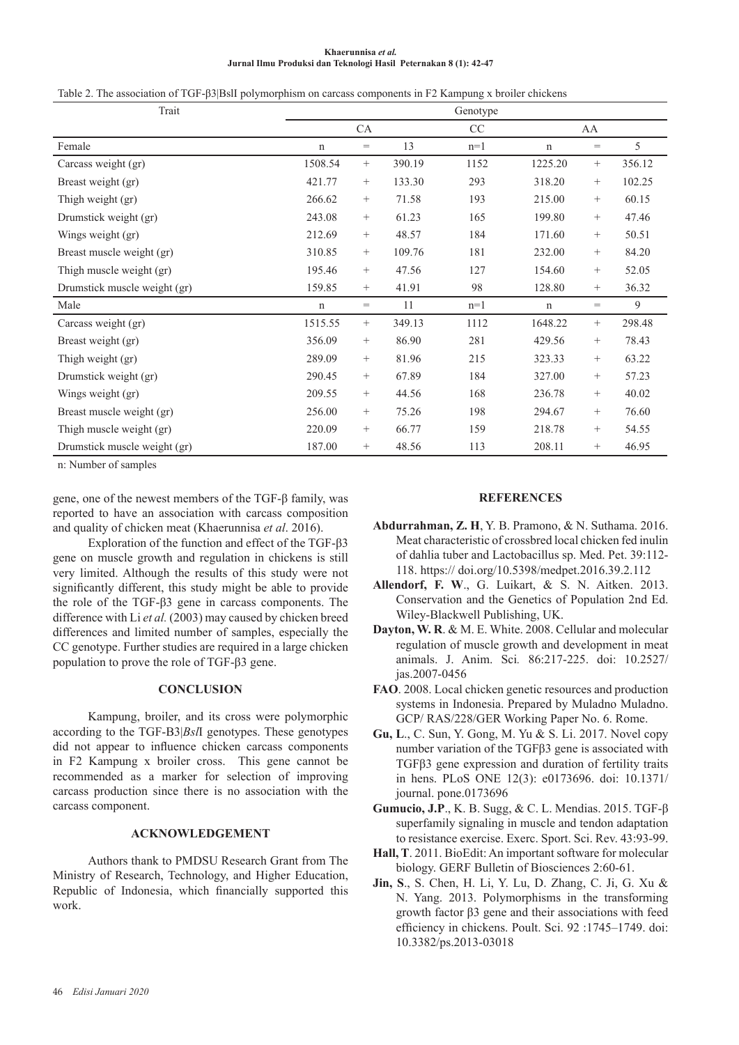#### **Khaerunnisa** *et al.*  **Jurnal Ilmu Produksi dan Teknologi Hasil Peternakan 8 (1): 42-47**

Table 2. The association of TGF-β3|BslI polymorphism on carcass components in F2 Kampung x broiler chickens

| Trait                                             |             |                 |        | Genotype |             |                 |        |
|---------------------------------------------------|-------------|-----------------|--------|----------|-------------|-----------------|--------|
|                                                   |             | CA              |        | $\rm CC$ |             | AA              |        |
| Female                                            | $\mathbf n$ | $=$             | 13     | $n=1$    | n           | $=$             | 5      |
| Carcass weight (gr)                               | 1508.54     | $\! + \!\!\!\!$ | 390.19 | 1152     | 1225.20     | $\! + \!\!\!\!$ | 356.12 |
| Breast weight (gr)                                | 421.77      | $^{+}$          | 133.30 | 293      | 318.20      | $^{+}$          | 102.25 |
| Thigh weight (gr)                                 | 266.62      | $^{+}$          | 71.58  | 193      | 215.00      | $^{+}$          | 60.15  |
| Drumstick weight (gr)                             | 243.08      | $^{+}$          | 61.23  | 165      | 199.80      | $^{+}$          | 47.46  |
| Wings weight (gr)                                 | 212.69      | $^{+}$          | 48.57  | 184      | 171.60      | $^{+}$          | 50.51  |
| Breast muscle weight (gr)                         | 310.85      | $^{+}$          | 109.76 | 181      | 232.00      | $^{+}$          | 84.20  |
| Thigh muscle weight (gr)                          | 195.46      | $\! + \!\!\!\!$ | 47.56  | 127      | 154.60      | $\! + \!\!\!\!$ | 52.05  |
| Drumstick muscle weight (gr)                      | 159.85      | $^{+}$          | 41.91  | 98       | 128.80      | $^{+}$          | 36.32  |
| Male                                              | $\mathbf n$ | $\!\!\!=\!\!\!$ | 11     | $n=1$    | $\mathbf n$ | $=$             | 9      |
| Carcass weight (gr)                               | 1515.55     | $^{+}$          | 349.13 | 1112     | 1648.22     | $^{+}$          | 298.48 |
| Breast weight (gr)                                | 356.09      | $^{+}$          | 86.90  | 281      | 429.56      | $^{+}$          | 78.43  |
| Thigh weight (gr)                                 | 289.09      | $^{+}$          | 81.96  | 215      | 323.33      | $^{+}$          | 63.22  |
| Drumstick weight (gr)                             | 290.45      | $\! + \!\!\!\!$ | 67.89  | 184      | 327.00      | $\! + \!\!\!\!$ | 57.23  |
| Wings weight (gr)                                 | 209.55      | $^{+}$          | 44.56  | 168      | 236.78      | $^{+}$          | 40.02  |
| Breast muscle weight (gr)                         | 256.00      | $^{+}$          | 75.26  | 198      | 294.67      | $^{+}$          | 76.60  |
| Thigh muscle weight (gr)                          | 220.09      | $^{+}$          | 66.77  | 159      | 218.78      | $^{+}$          | 54.55  |
| Drumstick muscle weight (gr)<br>$\cdots$ $\cdots$ | 187.00      | $^{+}$          | 48.56  | 113      | 208.11      | $\! + \!\!\!\!$ | 46.95  |

n: Number of samples

gene, one of the newest members of the TGF-β family, was reported to have an association with carcass composition and quality of chicken meat (Khaerunnisa *et al*. 2016).

Exploration of the function and effect of the TGF-β3 gene on muscle growth and regulation in chickens is still very limited. Although the results of this study were not significantly different, this study might be able to provide the role of the TGF-β3 gene in carcass components. The difference with Li *et al.* (2003) may caused by chicken breed differences and limited number of samples, especially the CC genotype. Further studies are required in a large chicken population to prove the role of TGF-β3 gene.

## **CONCLUSION**

Kampung, broiler, and its cross were polymorphic according to the TGF-B3|*Bsl*I genotypes. These genotypes did not appear to influence chicken carcass components in F2 Kampung x broiler cross. This gene cannot be recommended as a marker for selection of improving carcass production since there is no association with the carcass component.

# **ACKNOWLEDGEMENT**

Authors thank to PMDSU Research Grant from The Ministry of Research, Technology, and Higher Education, Republic of Indonesia, which financially supported this work.

## **REFERENCES**

- **Abdurrahman, Z. H**, Y. B. Pramono, & N. Suthama. 2016. Meat characteristic of crossbred local chicken fed inulin of dahlia tuber and Lactobacillus sp. Med. Pet. 39:112- 118. https:// doi.org/10.5398/medpet.2016.39.2.112
- **Allendorf, F. W**., G. Luikart, & S. N. Aitken. 2013. Conservation and the Genetics of Population 2nd Ed. Wiley-Blackwell Publishing, UK.
- **Dayton, W. R**. & M. E. White. 2008. Cellular and molecular regulation of muscle growth and development in meat animals. J. Anim. Sci*.* 86:217-225. doi: 10.2527/ jas.2007-0456
- **FAO**. 2008. Local chicken genetic resources and production systems in Indonesia. Prepared by Muladno Muladno. GCP/ RAS/228/GER Working Paper No. 6. Rome.
- **Gu, L**., C. Sun, Y. Gong, M. Yu & S. Li. 2017. Novel copy number variation of the TGFβ3 gene is associated with TGFβ3 gene expression and duration of fertility traits in hens. PLoS ONE 12(3): e0173696. doi: 10.1371/ journal. pone.0173696
- **Gumucio, J.P**., K. B. Sugg, & C. L. Mendias. 2015. TGF-β superfamily signaling in muscle and tendon adaptation to resistance exercise. Exerc. Sport. Sci. Rev. 43:93-99.
- **Hall, T**. 2011. BioEdit: An important software for molecular biology. GERF Bulletin of Biosciences 2:60-61.
- **Jin, S**., S. Chen, H. Li, Y. Lu, D. Zhang, C. Ji, G. Xu & N. Yang. 2013. Polymorphisms in the transforming growth factor β3 gene and their associations with feed efficiency in chickens. Poult. Sci. 92 :1745–1749. doi: 10.3382/ps.2013-03018